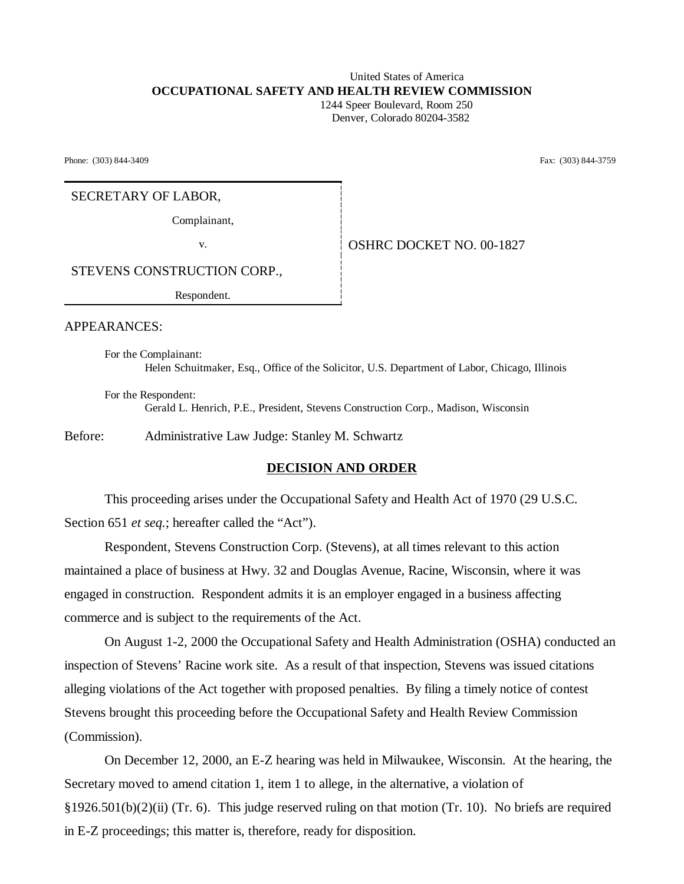#### United States of America **OCCUPATIONAL SAFETY AND HEALTH REVIEW COMMISSION** 1244 Speer Boulevard, Room 250

Denver, Colorado 80204-3582

Phone: (303) 844-3409 Fax: (303) 844-3759

### SECRETARY OF LABOR,

Complainant,

v. **CONFIDENT OSHRC DOCKET NO. 00-1827** 

STEVENS CONSTRUCTION CORP.,

Respondent.

APPEARANCES:

For the Complainant: Helen Schuitmaker, Esq., Office of the Solicitor, U.S. Department of Labor, Chicago, Illinois

For the Respondent: Gerald L. Henrich, P.E., President, Stevens Construction Corp., Madison, Wisconsin

Before: Administrative Law Judge: Stanley M. Schwartz

### **DECISION AND ORDER**

This proceeding arises under the Occupational Safety and Health Act of 1970 (29 U.S.C. Section 651 *et seq.*; hereafter called the "Act").

Respondent, Stevens Construction Corp. (Stevens), at all times relevant to this action maintained a place of business at Hwy. 32 and Douglas Avenue, Racine, Wisconsin, where it was engaged in construction. Respondent admits it is an employer engaged in a business affecting commerce and is subject to the requirements of the Act.

On August 1-2, 2000 the Occupational Safety and Health Administration (OSHA) conducted an inspection of Stevens' Racine work site. As a result of that inspection, Stevens was issued citations alleging violations of the Act together with proposed penalties. By filing a timely notice of contest Stevens brought this proceeding before the Occupational Safety and Health Review Commission (Commission).

On December 12, 2000, an E-Z hearing was held in Milwaukee, Wisconsin. At the hearing, the Secretary moved to amend citation 1, item 1 to allege, in the alternative, a violation of §1926.501(b)(2)(ii) (Tr. 6). This judge reserved ruling on that motion (Tr. 10). No briefs are required in E-Z proceedings; this matter is, therefore, ready for disposition.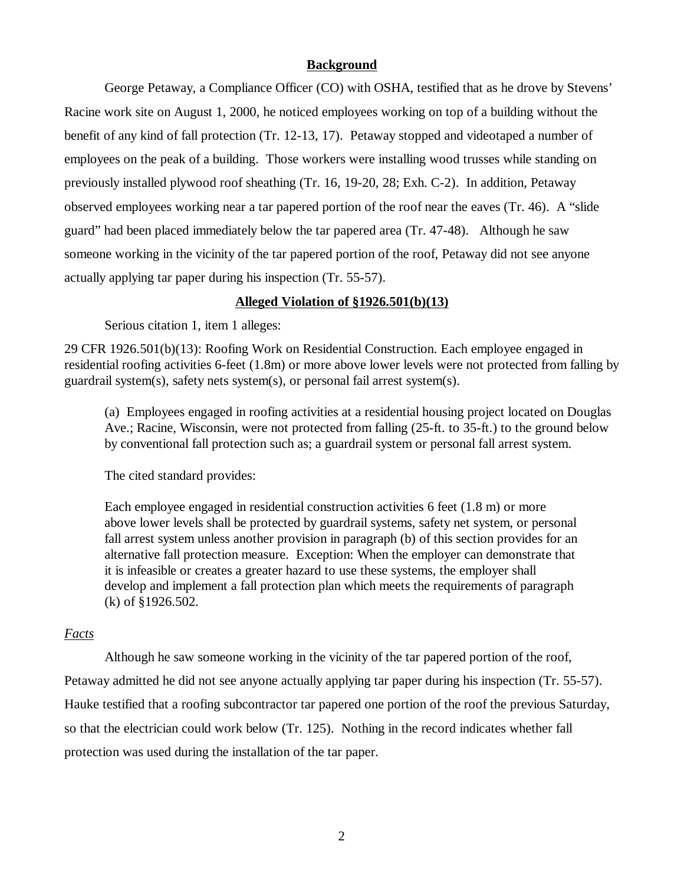### **Background**

George Petaway, a Compliance Officer (CO) with OSHA, testified that as he drove by Stevens' Racine work site on August 1, 2000, he noticed employees working on top of a building without the benefit of any kind of fall protection (Tr. 12-13, 17). Petaway stopped and videotaped a number of employees on the peak of a building. Those workers were installing wood trusses while standing on previously installed plywood roof sheathing (Tr. 16, 19-20, 28; Exh. C-2). In addition, Petaway observed employees working near a tar papered portion of the roof near the eaves (Tr. 46). A "slide guard" had been placed immediately below the tar papered area (Tr. 47-48). Although he saw someone working in the vicinity of the tar papered portion of the roof, Petaway did not see anyone actually applying tar paper during his inspection (Tr. 55-57).

### **Alleged Violation of §1926.501(b)(13)**

Serious citation 1, item 1 alleges:

29 CFR 1926.501(b)(13): Roofing Work on Residential Construction. Each employee engaged in residential roofing activities 6-feet (1.8m) or more above lower levels were not protected from falling by guardrail system(s), safety nets system(s), or personal fail arrest system(s).

(a) Employees engaged in roofing activities at a residential housing project located on Douglas Ave.; Racine, Wisconsin, were not protected from falling (25-ft. to 35-ft.) to the ground below by conventional fall protection such as; a guardrail system or personal fall arrest system.

The cited standard provides:

Each employee engaged in residential construction activities 6 feet (1.8 m) or more above lower levels shall be protected by guardrail systems, safety net system, or personal fall arrest system unless another provision in paragraph (b) of this section provides for an alternative fall protection measure. Exception: When the employer can demonstrate that it is infeasible or creates a greater hazard to use these systems, the employer shall develop and implement a fall protection plan which meets the requirements of paragraph (k) of §1926.502.

### *Facts*

Although he saw someone working in the vicinity of the tar papered portion of the roof, Petaway admitted he did not see anyone actually applying tar paper during his inspection (Tr. 55-57). Hauke testified that a roofing subcontractor tar papered one portion of the roof the previous Saturday, so that the electrician could work below (Tr. 125). Nothing in the record indicates whether fall protection was used during the installation of the tar paper.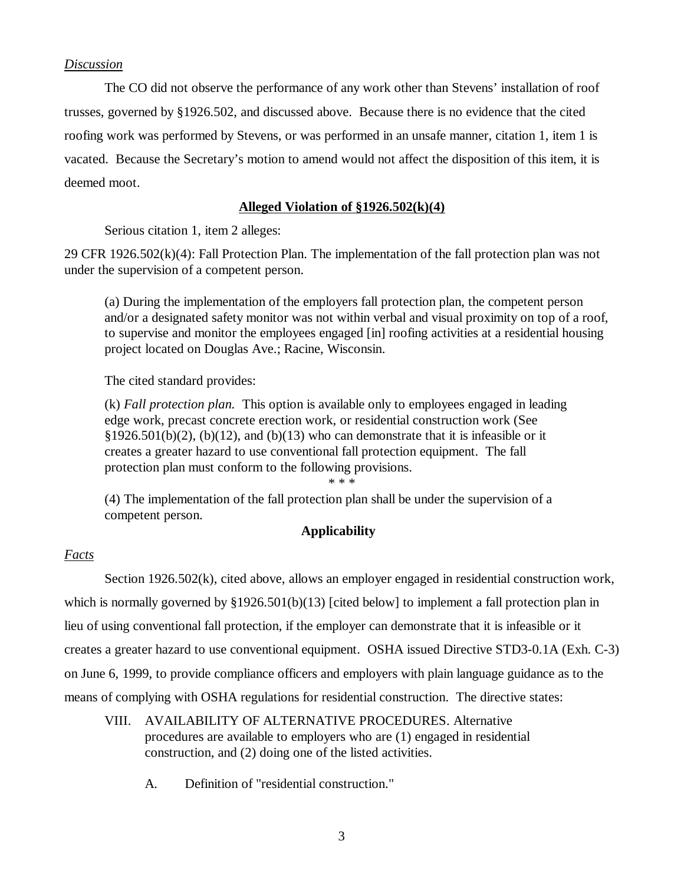# *Discussion*

The CO did not observe the performance of any work other than Stevens' installation of roof trusses, governed by §1926.502, and discussed above. Because there is no evidence that the cited roofing work was performed by Stevens, or was performed in an unsafe manner, citation 1, item 1 is vacated. Because the Secretary's motion to amend would not affect the disposition of this item, it is deemed moot.

# **Alleged Violation of §1926.502(k)(4)**

Serious citation 1, item 2 alleges:

29 CFR 1926.502(k)(4): Fall Protection Plan. The implementation of the fall protection plan was not under the supervision of a competent person.

(a) During the implementation of the employers fall protection plan, the competent person and/or a designated safety monitor was not within verbal and visual proximity on top of a roof, to supervise and monitor the employees engaged [in] roofing activities at a residential housing project located on Douglas Ave.; Racine, Wisconsin.

The cited standard provides:

(k) *Fall protection plan.* This option is available only to employees engaged in leading edge work, precast concrete erection work, or residential construction work (See §1926.501(b)(2), (b)(12), and (b)(13) who can demonstrate that it is infeasible or it creates a greater hazard to use conventional fall protection equipment. The fall protection plan must conform to the following provisions.

\* \* \*

(4) The implementation of the fall protection plan shall be under the supervision of a competent person.

# **Applicability**

# *Facts*

Section 1926.502(k), cited above, allows an employer engaged in residential construction work, which is normally governed by §1926.501(b)(13) [cited below] to implement a fall protection plan in lieu of using conventional fall protection, if the employer can demonstrate that it is infeasible or it creates a greater hazard to use conventional equipment. OSHA issued Directive STD3-0.1A (Exh. C-3) on June 6, 1999, to provide compliance officers and employers with plain language guidance as to the means of complying with OSHA regulations for residential construction. The directive states:

- VIII. AVAILABILITY OF ALTERNATIVE PROCEDURES. Alternative procedures are available to employers who are (1) engaged in residential construction, and (2) doing one of the listed activities.
	- A. Definition of "residential construction."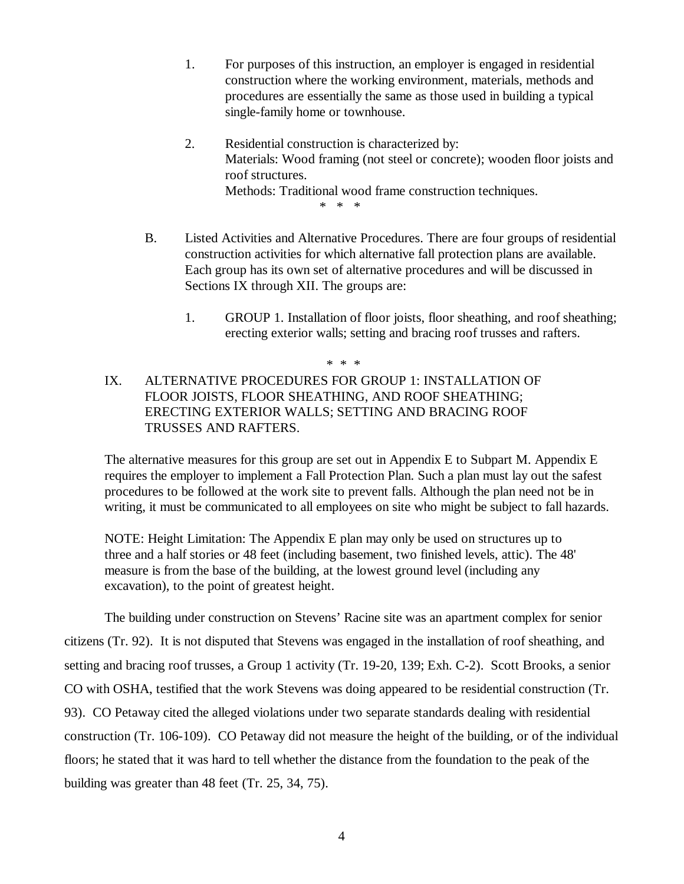- 1. For purposes of this instruction, an employer is engaged in residential construction where the working environment, materials, methods and procedures are essentially the same as those used in building a typical single-family home or townhouse.
- 2. Residential construction is characterized by: Materials: Wood framing (not steel or concrete); wooden floor joists and roof structures. Methods: Traditional wood frame construction techniques. \* \* \*
- B. Listed Activities and Alternative Procedures. There are four groups of residential construction activities for which alternative fall protection plans are available. Each group has its own set of alternative procedures and will be discussed in Sections IX through XII. The groups are:
	- 1. GROUP 1. Installation of floor joists, floor sheathing, and roof sheathing; erecting exterior walls; setting and bracing roof trusses and rafters.

# IX. ALTERNATIVE PROCEDURES FOR GROUP 1: INSTALLATION OF FLOOR JOISTS, FLOOR SHEATHING, AND ROOF SHEATHING; ERECTING EXTERIOR WALLS; SETTING AND BRACING ROOF TRUSSES AND RAFTERS.

\* \* \*

The alternative measures for this group are set out in Appendix E to Subpart M. Appendix E requires the employer to implement a Fall Protection Plan. Such a plan must lay out the safest procedures to be followed at the work site to prevent falls. Although the plan need not be in writing, it must be communicated to all employees on site who might be subject to fall hazards.

NOTE: Height Limitation: The Appendix E plan may only be used on structures up to three and a half stories or 48 feet (including basement, two finished levels, attic). The 48' measure is from the base of the building, at the lowest ground level (including any excavation), to the point of greatest height.

The building under construction on Stevens' Racine site was an apartment complex for senior citizens (Tr. 92). It is not disputed that Stevens was engaged in the installation of roof sheathing, and setting and bracing roof trusses, a Group 1 activity (Tr. 19-20, 139; Exh. C-2). Scott Brooks, a senior CO with OSHA, testified that the work Stevens was doing appeared to be residential construction (Tr. 93). CO Petaway cited the alleged violations under two separate standards dealing with residential construction (Tr. 106-109). CO Petaway did not measure the height of the building, or of the individual floors; he stated that it was hard to tell whether the distance from the foundation to the peak of the building was greater than 48 feet (Tr. 25, 34, 75).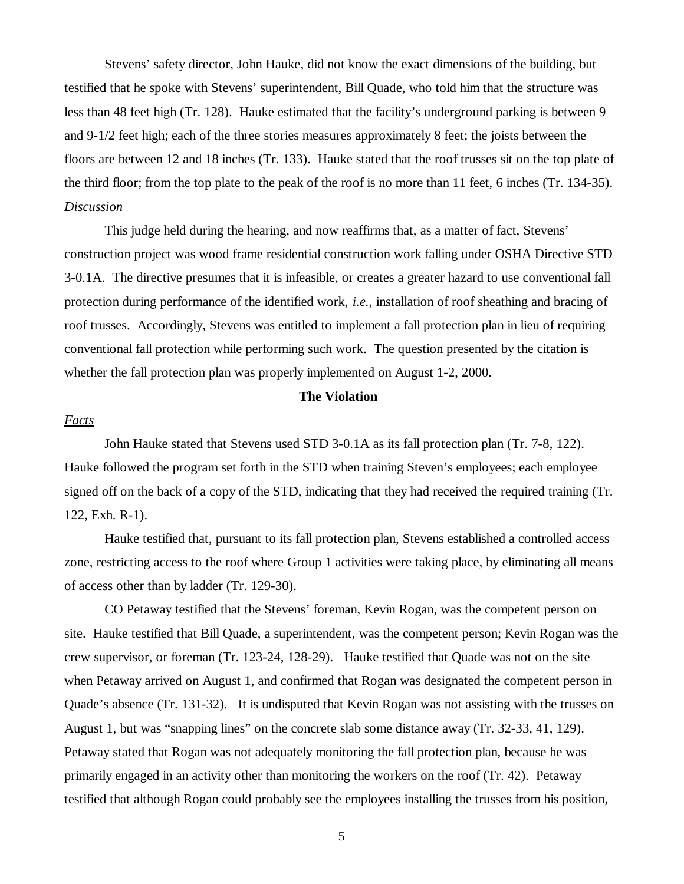Stevens' safety director, John Hauke, did not know the exact dimensions of the building, but testified that he spoke with Stevens' superintendent, Bill Quade, who told him that the structure was less than 48 feet high (Tr. 128). Hauke estimated that the facility's underground parking is between 9 and 9-1/2 feet high; each of the three stories measures approximately 8 feet; the joists between the floors are between 12 and 18 inches (Tr. 133). Hauke stated that the roof trusses sit on the top plate of the third floor; from the top plate to the peak of the roof is no more than 11 feet, 6 inches (Tr. 134-35). *Discussion*

This judge held during the hearing, and now reaffirms that, as a matter of fact, Stevens' construction project was wood frame residential construction work falling under OSHA Directive STD 3-0.1A. The directive presumes that it is infeasible, or creates a greater hazard to use conventional fall protection during performance of the identified work, *i.e.,* installation of roof sheathing and bracing of roof trusses. Accordingly, Stevens was entitled to implement a fall protection plan in lieu of requiring conventional fall protection while performing such work. The question presented by the citation is whether the fall protection plan was properly implemented on August 1-2, 2000.

### **The Violation**

#### *Facts*

John Hauke stated that Stevens used STD 3-0.1A as its fall protection plan (Tr. 7-8, 122). Hauke followed the program set forth in the STD when training Steven's employees; each employee signed off on the back of a copy of the STD, indicating that they had received the required training (Tr. 122, Exh. R-1).

Hauke testified that, pursuant to its fall protection plan, Stevens established a controlled access zone, restricting access to the roof where Group 1 activities were taking place, by eliminating all means of access other than by ladder (Tr. 129-30).

CO Petaway testified that the Stevens' foreman, Kevin Rogan, was the competent person on site. Hauke testified that Bill Quade, a superintendent, was the competent person; Kevin Rogan was the crew supervisor, or foreman (Tr. 123-24, 128-29). Hauke testified that Quade was not on the site when Petaway arrived on August 1, and confirmed that Rogan was designated the competent person in Quade's absence (Tr. 131-32). It is undisputed that Kevin Rogan was not assisting with the trusses on August 1, but was "snapping lines" on the concrete slab some distance away (Tr. 32-33, 41, 129). Petaway stated that Rogan was not adequately monitoring the fall protection plan, because he was primarily engaged in an activity other than monitoring the workers on the roof (Tr. 42). Petaway testified that although Rogan could probably see the employees installing the trusses from his position,

5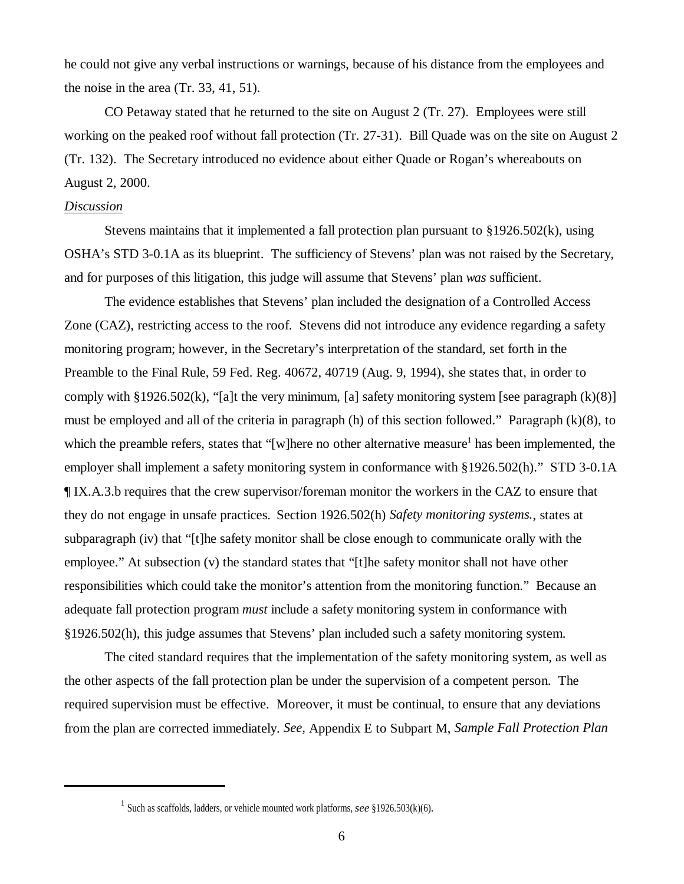he could not give any verbal instructions or warnings, because of his distance from the employees and the noise in the area (Tr. 33, 41, 51).

CO Petaway stated that he returned to the site on August 2 (Tr. 27). Employees were still working on the peaked roof without fall protection (Tr. 27-31). Bill Quade was on the site on August 2 (Tr. 132). The Secretary introduced no evidence about either Quade or Rogan's whereabouts on August 2, 2000.

### *Discussion*

Stevens maintains that it implemented a fall protection plan pursuant to §1926.502(k), using OSHA's STD 3-0.1A as its blueprint. The sufficiency of Stevens' plan was not raised by the Secretary, and for purposes of this litigation, this judge will assume that Stevens' plan *was* sufficient.

The evidence establishes that Stevens' plan included the designation of a Controlled Access Zone (CAZ), restricting access to the roof. Stevens did not introduce any evidence regarding a safety monitoring program; however, in the Secretary's interpretation of the standard, set forth in the Preamble to the Final Rule, 59 Fed. Reg. 40672, 40719 (Aug. 9, 1994), she states that, in order to comply with §1926.502(k), "[a]t the very minimum, [a] safety monitoring system [see paragraph  $(k)(8)$ ] must be employed and all of the criteria in paragraph (h) of this section followed." Paragraph (k)(8), to which the preamble refers, states that "[w]here no other alternative measure<sup>1</sup> has been implemented, the employer shall implement a safety monitoring system in conformance with §1926.502(h)." STD 3-0.1A ¶ IX.A.3.b requires that the crew supervisor/foreman monitor the workers in the CAZ to ensure that they do not engage in unsafe practices. Section 1926.502(h) *Safety monitoring systems.*, states at subparagraph (iv) that "[t]he safety monitor shall be close enough to communicate orally with the employee." At subsection (v) the standard states that "[t]he safety monitor shall not have other responsibilities which could take the monitor's attention from the monitoring function." Because an adequate fall protection program *must* include a safety monitoring system in conformance with §1926.502(h), this judge assumes that Stevens' plan included such a safety monitoring system.

The cited standard requires that the implementation of the safety monitoring system, as well as the other aspects of the fall protection plan be under the supervision of a competent person. The required supervision must be effective. Moreover, it must be continual, to ensure that any deviations from the plan are corrected immediately. *See,* Appendix E to Subpart M, *Sample Fall Protection Plan*

<sup>&</sup>lt;sup>1</sup> Such as scaffolds, ladders, or vehicle mounted work platforms, *see* §1926.503(k)(6).